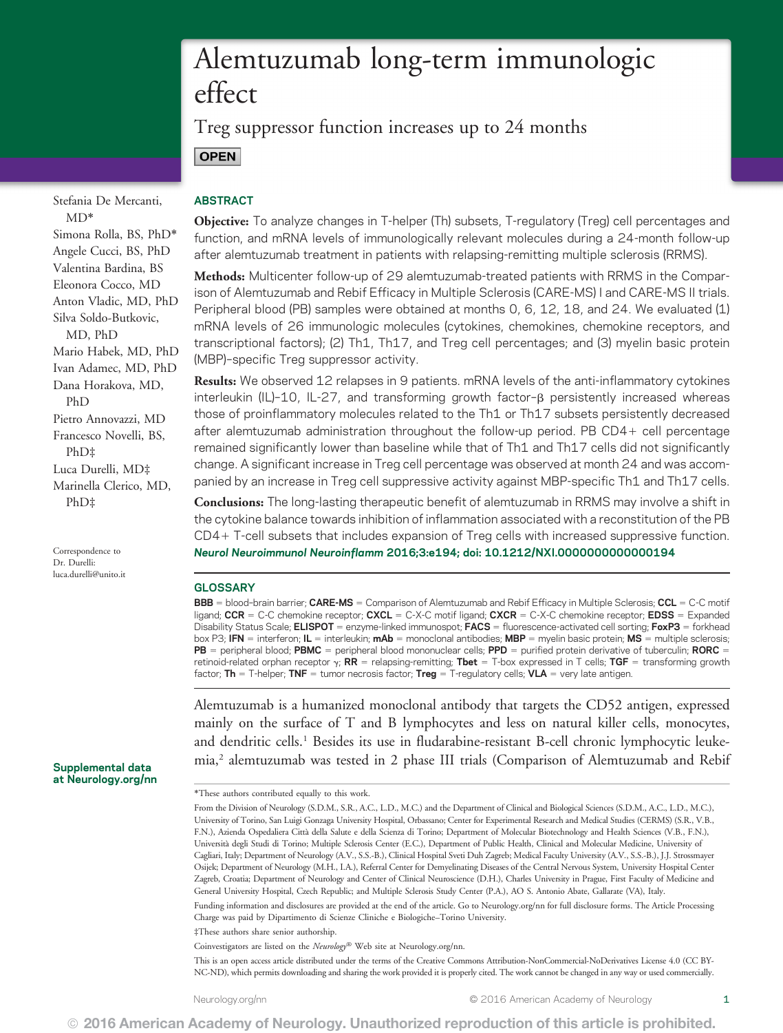# Alemtuzumab long-term immunologic effect

Treg suppressor function increases up to 24 months **OPEN** 

Stefania De Mercanti, MD\* Simona Rolla, BS, PhD\* Angele Cucci, BS, PhD Valentina Bardina, BS Eleonora Cocco, MD Anton Vladic, MD, PhD Silva Soldo-Butkovic, MD, PhD Mario Habek, MD, PhD Ivan Adamec, MD, PhD Dana Horakova, MD, PhD Pietro Annovazzi, MD Francesco Novelli, BS, PhD‡ Luca Durelli, MD‡ Marinella Clerico, MD, PhD‡

Correspondence to Dr. Durelli: [luca.durelli@unito.it](mailto:luca.durelli@unito.it)

Supplemental data at [Neurology.org/nn](http://nn.neurology.org/lookup/doi/10.1212/NXI.0000000000000194)

# ABSTRACT

Objective: To analyze changes in T-helper (Th) subsets, T-regulatory (Treg) cell percentages and function, and mRNA levels of immunologically relevant molecules during a 24-month follow-up after alemtuzumab treatment in patients with relapsing-remitting multiple sclerosis (RRMS).

Methods: Multicenter follow-up of 29 alemtuzumab-treated patients with RRMS in the Comparison of Alemtuzumab and Rebif Efficacy in Multiple Sclerosis (CARE-MS) I and CARE-MS II trials. Peripheral blood (PB) samples were obtained at months 0, 6, 12, 18, and 24. We evaluated (1) mRNA levels of 26 immunologic molecules (cytokines, chemokines, chemokine receptors, and transcriptional factors); (2) Th1, Th17, and Treg cell percentages; and (3) myelin basic protein (MBP)–specific Treg suppressor activity.

Results: We observed 12 relapses in 9 patients. mRNA levels of the anti-inflammatory cytokines interleukin (IL)-10, IL-27, and transforming growth factor- $\beta$  persistently increased whereas those of proinflammatory molecules related to the Th1 or Th17 subsets persistently decreased after alemtuzumab administration throughout the follow-up period. PB  $CD4 +$  cell percentage remained significantly lower than baseline while that of Th1 and Th17 cells did not significantly change. A significant increase in Treg cell percentage was observed at month 24 and was accompanied by an increase in Treg cell suppressive activity against MBP-specific Th1 and Th17 cells.

Conclusions: The long-lasting therapeutic benefit of alemtuzumab in RRMS may involve a shift in the cytokine balance towards inhibition of inflammation associated with a reconstitution of the PB CD41 T-cell subsets that includes expansion of Treg cells with increased suppressive function. Neurol Neuroimmunol Neuroinflamm 2016;3:e194; doi: 10.1212/NXI.0000000000000194

### **GLOSSARY**

**BBB** = blood-brain barrier; CARE-MS = Comparison of Alemtuzumab and Rebif Efficacy in Multiple Sclerosis; CCL = C-C motif ligand; CCR = C-C chemokine receptor; CXCL = C-X-C motif ligand; CXCR = C-X-C chemokine receptor; EDSS = Expanded Disability Status Scale; **ELISPOT** = enzyme-linked immunospot; **FACS** = fluorescence-activated cell sorting; **FoxP3** = forkhead box P3; IFN = interferon; IL = interleukin;  $mAb$  = monoclonal antibodies; MBP = myelin basic protein; MS = multiple sclerosis;  $PB$  = peripheral blood; PBMC = peripheral blood mononuclear cells; PPD = purified protein derivative of tuberculin; RORC = retinoid-related orphan receptor  $\gamma$ ; RR = relapsing-remitting; Tbet = T-box expressed in T cells; TGF = transforming growth factor; Th = T-helper; TNF = tumor necrosis factor; Treg = T-regulatory cells; VLA = very late antigen.

Alemtuzumab is a humanized monoclonal antibody that targets the CD52 antigen, expressed mainly on the surface of T and B lymphocytes and less on natural killer cells, monocytes, and dendritic cells.<sup>1</sup> Besides its use in fludarabine-resistant B-cell chronic lymphocytic leukemia,<sup>2</sup> alemtuzumab was tested in 2 phase III trials (Comparison of Alemtuzumab and Rebif

\*These authors contributed equally to this work.

From the Division of Neurology (S.D.M., S.R., A.C., L.D., M.C.) and the Department of Clinical and Biological Sciences (S.D.M., A.C., L.D., M.C.), University of Torino, San Luigi Gonzaga University Hospital, Orbassano; Center for Experimental Research and Medical Studies (CERMS) (S.R., V.B., F.N.), Azienda Ospedaliera Città della Salute e della Scienza di Torino; Department of Molecular Biotechnology and Health Sciences (V.B., F.N.), Università degli Studi di Torino; Multiple Sclerosis Center (E.C.), Department of Public Health, Clinical and Molecular Medicine, University of Cagliari, Italy; Department of Neurology (A.V., S.S.-B.), Clinical Hospital Sveti Duh Zagreb; Medical Faculty University (A.V., S.S.-B.), J.J. Strossmayer Osijek; Department of Neurology (M.H., I.A.), Referral Center for Demyelinating Diseases of the Central Nervous System, University Hospital Center Zagreb, Croatia; Department of Neurology and Center of Clinical Neuroscience (D.H.), Charles University in Prague, First Faculty of Medicine and General University Hospital, Czech Republic; and Multiple Sclerosis Study Center (P.A.), AO S. Antonio Abate, Gallarate (VA), Italy. Funding information and disclosures are provided at the end of the article. Go to [Neurology.org/nn](http://nn.neurology.org/lookup/doi/10.1212/NXI.0000000000000194) for full disclosure forms. The Article Processing Charge was paid by Dipartimento di Scienze Cliniche e Biologiche–Torino University.

‡These authors share senior authorship.

Coinvestigators are listed on the Neurology® Web site at [Neurology.org/nn](http://nn.neurology.org/lookup/doi/10.1212/NXI.0000000000000194).

This is an open access article distributed under the terms of the [Creative Commons Attribution-NonCommercial-NoDerivatives License 4.0 \(CC BY-](http://creativecommons.org/licenses/by-nc-nd/4.0/)[NC-ND\)](http://creativecommons.org/licenses/by-nc-nd/4.0/), which permits downloading and sharing the work provided it is properly cited. The work cannot be changed in any way or used commercially.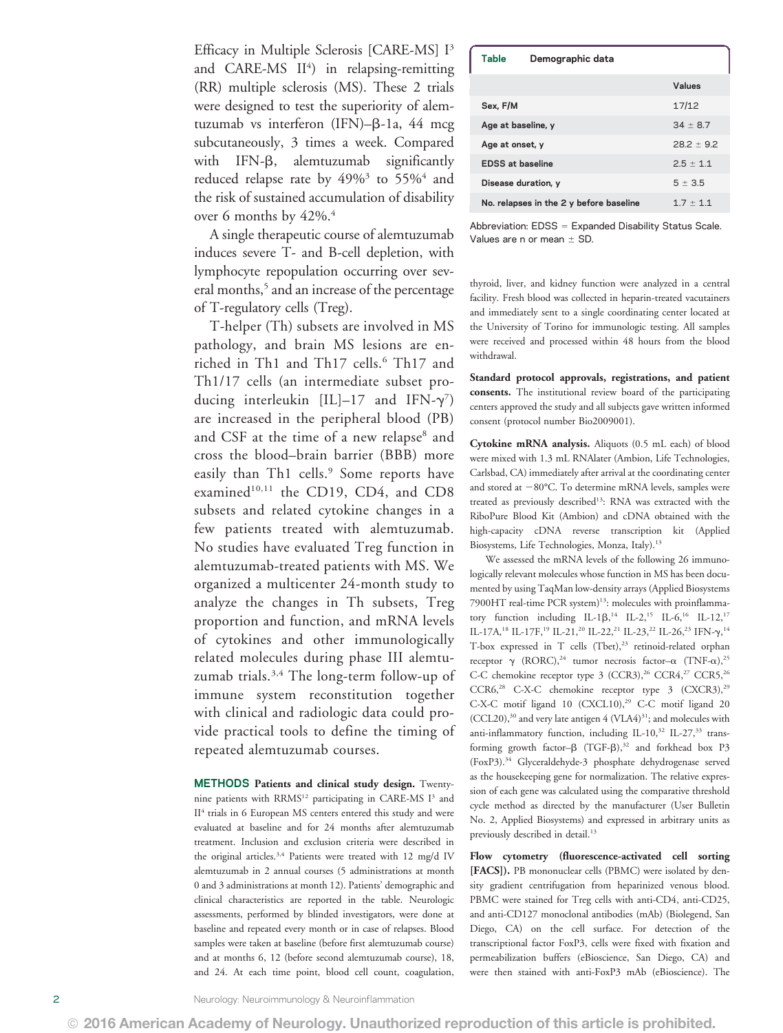Efficacy in Multiple Sclerosis [CARE-MS] I<sup>3</sup> and CARE-MS II<sup>4</sup>) in relapsing-remitting (RR) multiple sclerosis (MS). These 2 trials were designed to test the superiority of alemtuzumab vs interferon (IFN)- $\beta$ -1a, 44 mcg subcutaneously, 3 times a week. Compared with  $IFN-\beta$ , alemtuzumab significantly reduced relapse rate by  $49\%$ <sup>3</sup> to  $55\%$ <sup>4</sup> and the risk of sustained accumulation of disability over 6 months by  $42\%$ .<sup>4</sup>

A single therapeutic course of alemtuzumab induces severe T- and B-cell depletion, with lymphocyte repopulation occurring over several months,<sup>5</sup> and an increase of the percentage of T-regulatory cells (Treg).

T-helper (Th) subsets are involved in MS pathology, and brain MS lesions are enriched in Th1 and Th17 cells.<sup>6</sup> Th17 and Th1/17 cells (an intermediate subset producing interleukin  $[IL]$ –17 and  $IFN-\gamma^7$ are increased in the peripheral blood (PB) and CSF at the time of a new relapse<sup>8</sup> and cross the blood–brain barrier (BBB) more easily than Th1 cells.<sup>9</sup> Some reports have examined<sup>10,11</sup> the CD19, CD4, and CD8 subsets and related cytokine changes in a few patients treated with alemtuzumab. No studies have evaluated Treg function in alemtuzumab-treated patients with MS. We organized a multicenter 24-month study to analyze the changes in Th subsets, Treg proportion and function, and mRNA levels of cytokines and other immunologically related molecules during phase III alemtuzumab trials.<sup>3,4</sup> The long-term follow-up of immune system reconstitution together with clinical and radiologic data could provide practical tools to define the timing of repeated alemtuzumab courses.

METHODS Patients and clinical study design. Twentynine patients with RRMS<sup>12</sup> participating in CARE-MS I<sup>3</sup> and II<sup>4</sup> trials in 6 European MS centers entered this study and were evaluated at baseline and for 24 months after alemtuzumab treatment. Inclusion and exclusion criteria were described in the original articles.<sup>3,4</sup> Patients were treated with 12 mg/d IV alemtuzumab in 2 annual courses (5 administrations at month 0 and 3 administrations at month 12). Patients' demographic and clinical characteristics are reported in the table. Neurologic assessments, performed by blinded investigators, were done at baseline and repeated every month or in case of relapses. Blood samples were taken at baseline (before first alemtuzumab course) and at months 6, 12 (before second alemtuzumab course), 18, and 24. At each time point, blood cell count, coagulation,

| Table                                   | Demographic data |                |
|-----------------------------------------|------------------|----------------|
|                                         |                  | Values         |
| Sex. F/M                                |                  | 17/12          |
| Age at baseline, y                      |                  | $34 \pm 8.7$   |
| Age at onset, y                         |                  | $28.2 \pm 9.2$ |
| <b>EDSS at baseline</b>                 |                  | $2.5 \pm 1.1$  |
| Disease duration, y                     |                  | $5 \pm 3.5$    |
| No. relapses in the 2 y before baseline |                  | $1.7 \pm 1.1$  |
|                                         |                  |                |

Abbreviation:  $EDSS =$  Expanded Disability Status Scale. Values are n or mean  $\pm$  SD.

thyroid, liver, and kidney function were analyzed in a central facility. Fresh blood was collected in heparin-treated vacutainers and immediately sent to a single coordinating center located at the University of Torino for immunologic testing. All samples were received and processed within 48 hours from the blood withdrawal.

Standard protocol approvals, registrations, and patient consents. The institutional review board of the participating centers approved the study and all subjects gave written informed consent (protocol number Bio2009001).

Cytokine mRNA analysis. Aliquots (0.5 mL each) of blood were mixed with 1.3 mL RNAlater (Ambion, Life Technologies, Carlsbad, CA) immediately after arrival at the coordinating center and stored at  $-80^{\circ}$ C. To determine mRNA levels, samples were treated as previously described<sup>13</sup>: RNA was extracted with the RiboPure Blood Kit (Ambion) and cDNA obtained with the high-capacity cDNA reverse transcription kit (Applied Biosystems, Life Technologies, Monza, Italy).13

We assessed the mRNA levels of the following 26 immunologically relevant molecules whose function in MS has been documented by using TaqMan low-density arrays (Applied Biosystems 7900HT real-time PCR system)<sup>13</sup>: molecules with proinflammatory function including IL-1β,<sup>14</sup> IL-2,<sup>15</sup> IL-6,<sup>16</sup> IL-12,<sup>17</sup><br>H 17A <sup>18</sup> H 17E <sup>19</sup> H 21.<sup>20</sup> H 22.<sup>21</sup> H 22.<sup>22</sup> H 26.<sup>23</sup> HN 5.1<sup>4</sup> IL-17A,<sup>18</sup> IL-17F,<sup>19</sup> IL-21,<sup>20</sup> IL-22,<sup>21</sup> IL-23,<sup>22</sup> IL-26,<sup>23</sup> IFN- $\gamma$ ,<sup>14</sup> T-box expressed in T cells (Tbet),<sup>23</sup> retinoid-related orphan receptor  $\gamma$  (RORC),<sup>24</sup> tumor necrosis factor- $\alpha$  (TNF- $\alpha$ ),<sup>25</sup> C-C chemokine receptor type 3 (CCR3),<sup>26</sup> CCR4,<sup>27</sup> CCR5,<sup>26</sup>  $CCR6<sup>28</sup> C-X-C$  chemokine receptor type 3 (CXCR3),<sup>29</sup> C-X-C motif ligand 10 (CXCL10),<sup>29</sup> C-C motif ligand 20  $(CCL20)$ ,<sup>30</sup> and very late antigen  $4$   $(VLA4)$ <sup>31</sup>; and molecules with anti-inflammatory function, including IL-10,<sup>32</sup> IL-27,<sup>33</sup> transforming growth factor- $\beta$  (TGF- $\beta$ ),<sup>32</sup> and forkhead box P3 (FoxP3).34 Glyceraldehyde-3 phosphate dehydrogenase served as the housekeeping gene for normalization. The relative expression of each gene was calculated using the comparative threshold cycle method as directed by the manufacturer (User Bulletin No. 2, Applied Biosystems) and expressed in arbitrary units as previously described in detail.<sup>13</sup>

Flow cytometry (fluorescence-activated cell sorting [FACS]). PB mononuclear cells (PBMC) were isolated by density gradient centrifugation from heparinized venous blood. PBMC were stained for Treg cells with anti-CD4, anti-CD25, and anti-CD127 monoclonal antibodies (mAb) (Biolegend, San Diego, CA) on the cell surface. For detection of the transcriptional factor FoxP3, cells were fixed with fixation and permeabilization buffers (eBioscience, San Diego, CA) and were then stained with anti-FoxP3 mAb (eBioscience). The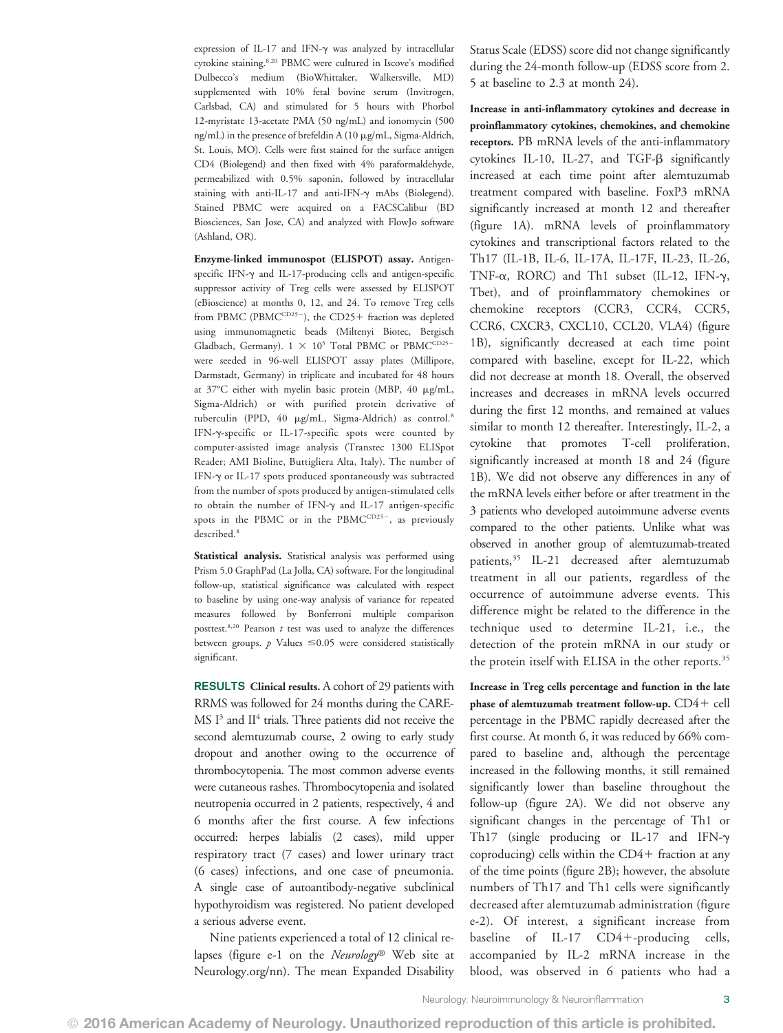expression of IL-17 and IFN- $\gamma$  was analyzed by intracellular cytokine staining.8,20 PBMC were cultured in Iscove's modified Dulbecco's medium (BioWhittaker, Walkersville, MD) supplemented with 10% fetal bovine serum (Invitrogen, Carlsbad, CA) and stimulated for 5 hours with Phorbol 12-myristate 13-acetate PMA (50 ng/mL) and ionomycin (500 ng/mL) in the presence of brefeldin A (10 mg/mL, Sigma-Aldrich, St. Louis, MO). Cells were first stained for the surface antigen CD4 (Biolegend) and then fixed with 4% paraformaldehyde, permeabilized with 0.5% saponin, followed by intracellular staining with anti-IL-17 and anti-IFN-g mAbs (Biolegend). Stained PBMC were acquired on a FACSCalibur (BD Biosciences, San Jose, CA) and analyzed with FlowJo software (Ashland, OR).

Enzyme-linked immunospot (ELISPOT) assay. Antigenspecific IFN- $\gamma$  and IL-17-producing cells and antigen-specific suppressor activity of Treg cells were assessed by ELISPOT (eBioscience) at months 0, 12, and 24. To remove Treg cells from PBMC (PBMCCD25-), the CD25+ fraction was depleted using immunomagnetic beads (Miltenyi Biotec, Bergisch Gladbach, Germany).  $1 \times 10^5$  Total PBMC or PBMCCD25were seeded in 96-well ELISPOT assay plates (Millipore, Darmstadt, Germany) in triplicate and incubated for 48 hours at 37°C either with myelin basic protein (MBP, 40 mg/mL, Sigma-Aldrich) or with purified protein derivative of tuberculin (PPD, 40 mg/mL, Sigma-Aldrich) as control.8 IFN-g-specific or IL-17-specific spots were counted by computer-assisted image analysis (Transtec 1300 ELISpot Reader; AMI Bioline, Buttigliera Alta, Italy). The number of IFN-g or IL-17 spots produced spontaneously was subtracted from the number of spots produced by antigen-stimulated cells to obtain the number of IFN- $\gamma$  and IL-17 antigen-specific spots in the PBMC or in the PBMCCD25-, as previously described.<sup>8</sup>

Statistical analysis. Statistical analysis was performed using Prism 5.0 GraphPad (La Jolla, CA) software. For the longitudinal follow-up, statistical significance was calculated with respect to baseline by using one-way analysis of variance for repeated measures followed by Bonferroni multiple comparison posttest.<sup>8,20</sup> Pearson  $t$  test was used to analyze the differences between groups.  $p$  Values  $\leq 0.05$  were considered statistically significant.

RESULTS Clinical results. A cohort of 29 patients with RRMS was followed for 24 months during the CARE-MS I<sup>3</sup> and II<sup>4</sup> trials. Three patients did not receive the second alemtuzumab course, 2 owing to early study dropout and another owing to the occurrence of thrombocytopenia. The most common adverse events were cutaneous rashes. Thrombocytopenia and isolated neutropenia occurred in 2 patients, respectively, 4 and 6 months after the first course. A few infections occurred: herpes labialis (2 cases), mild upper respiratory tract (7 cases) and lower urinary tract (6 cases) infections, and one case of pneumonia. A single case of autoantibody-negative subclinical hypothyroidism was registered. No patient developed a serious adverse event.

Nine patients experienced a total of 12 clinical relapses (figure e-1 on the Neurology® Web site at [Neurology.org/nn\)](http://nn.neurology.org/lookup/doi/10.1212/NXI.0000000000000194). The mean Expanded Disability Status Scale (EDSS) score did not change significantly during the 24-month follow-up (EDSS score from 2. 5 at baseline to 2.3 at month 24).

Increase in anti-inflammatory cytokines and decrease in proinflammatory cytokines, chemokines, and chemokine receptors. PB mRNA levels of the anti-inflammatory cytokines IL-10, IL-27, and TGF- $\beta$  significantly increased at each time point after alemtuzumab treatment compared with baseline. FoxP3 mRNA significantly increased at month 12 and thereafter (figure 1A). mRNA levels of proinflammatory cytokines and transcriptional factors related to the Th17 (IL-1B, IL-6, IL-17A, IL-17F, IL-23, IL-26, TNF- $\alpha$ , RORC) and Th1 subset (IL-12, IFN- $\gamma$ , Tbet), and of proinflammatory chemokines or chemokine receptors (CCR3, CCR4, CCR5, CCR6, CXCR3, CXCL10, CCL20, VLA4) (figure 1B), significantly decreased at each time point compared with baseline, except for IL-22, which did not decrease at month 18. Overall, the observed increases and decreases in mRNA levels occurred during the first 12 months, and remained at values similar to month 12 thereafter. Interestingly, IL-2, a cytokine that promotes T-cell proliferation, significantly increased at month 18 and 24 (figure 1B). We did not observe any differences in any of the mRNA levels either before or after treatment in the 3 patients who developed autoimmune adverse events compared to the other patients. Unlike what was observed in another group of alemtuzumab-treated patients,35 IL-21 decreased after alemtuzumab treatment in all our patients, regardless of the occurrence of autoimmune adverse events. This difference might be related to the difference in the technique used to determine IL-21, i.e., the detection of the protein mRNA in our study or the protein itself with ELISA in the other reports.<sup>35</sup>

Increase in Treg cells percentage and function in the late phase of alemtuzumab treatment follow-up.  $CD4+$  cell percentage in the PBMC rapidly decreased after the first course. At month 6, it was reduced by 66% compared to baseline and, although the percentage increased in the following months, it still remained significantly lower than baseline throughout the follow-up (figure 2A). We did not observe any significant changes in the percentage of Th1 or Th17 (single producing or IL-17 and IFN- $\gamma$ coproducing) cells within the  $CD4+$  fraction at any of the time points (figure 2B); however, the absolute numbers of Th17 and Th1 cells were significantly decreased after alemtuzumab administration (figure e-2). Of interest, a significant increase from baseline of IL-17  $CD4+$ -producing cells, accompanied by IL-2 mRNA increase in the blood, was observed in 6 patients who had a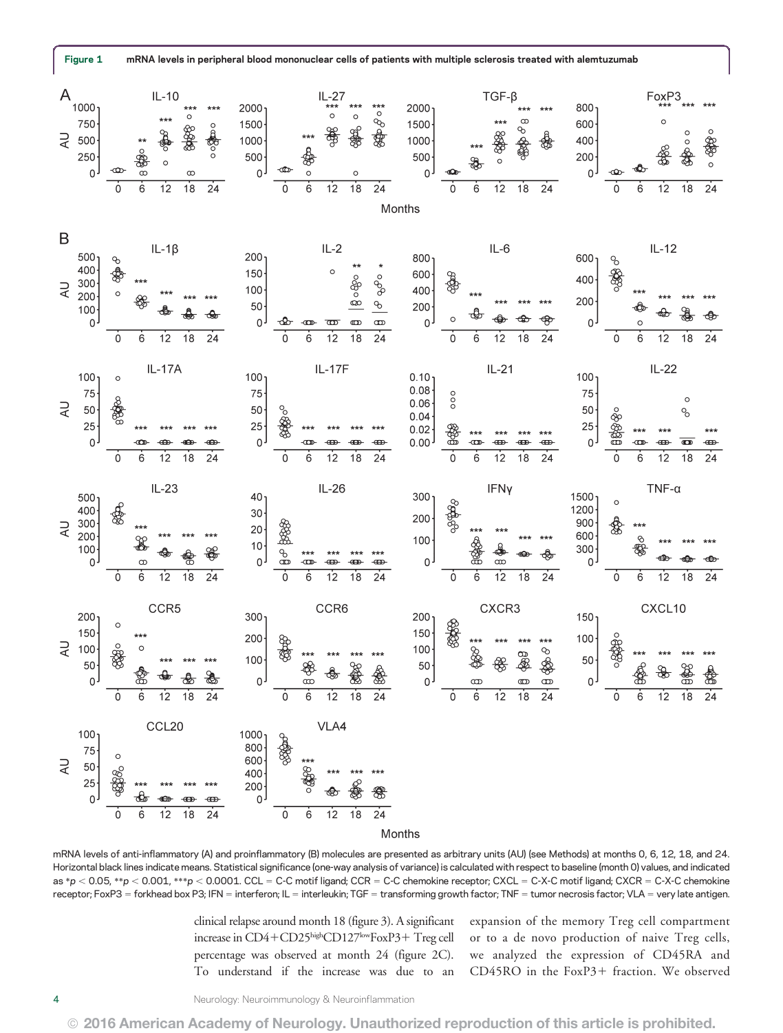

mRNA levels of anti-inflammatory (A) and proinflammatory (B) molecules are presented as arbitrary units (AU) (see Methods) at months 0, 6, 12, 18, and 24. Horizontal black lines indicate means. Statistical significance (one-way analysis of variance) is calculated with respect to baseline (month 0) values, and indicated as  $*_p$  < 0.05,  $*_p$  < 0.001,  $_{**p}$  < 0.0001. CCL = C-C motif ligand; CCR = C-C chemokine receptor; CXCL = C-X-C motif ligand; CXCR = C-X-C chemokine receptor; FoxP3 = forkhead box P3; IFN = interferon; IL = interleukin; TGF = transforming growth factor; TNF = tumor necrosis factor; VLA = very late antigen.

clinical relapse around month 18 (figure 3). A significant increase in CD4+CD25highCD127lowFoxP3+ Treg cell percentage was observed at month 24 (figure 2C). To understand if the increase was due to an expansion of the memory Treg cell compartment or to a de novo production of naive Treg cells, we analyzed the expression of CD45RA and CD45RO in the FoxP3+ fraction. We observed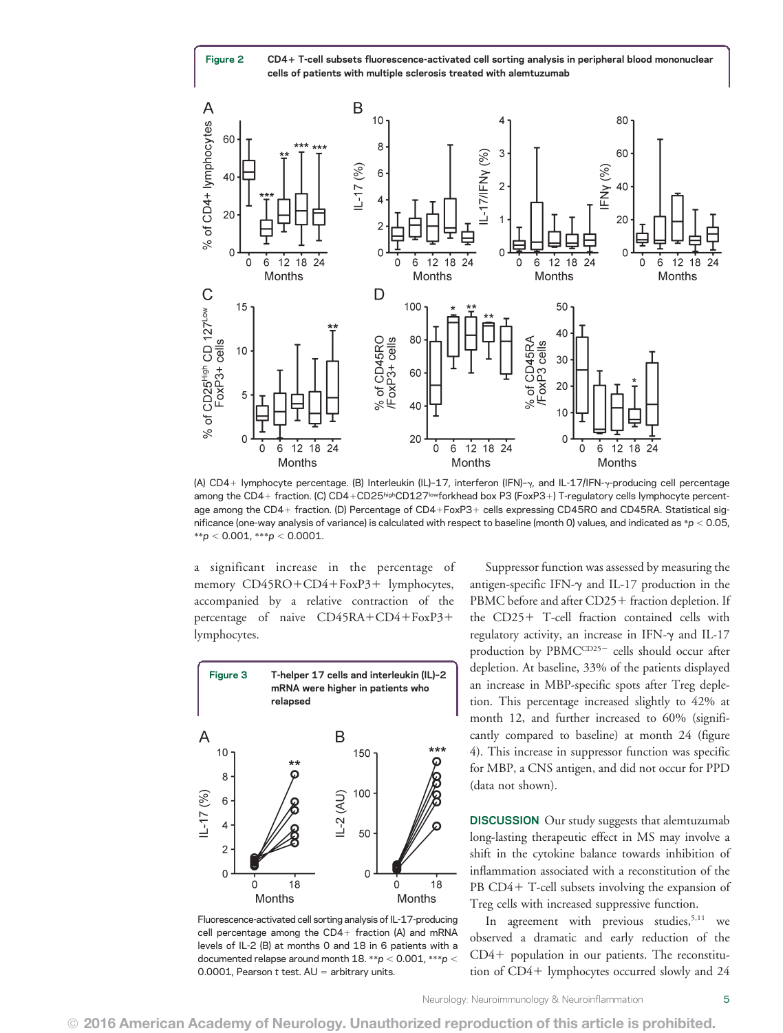Figure 2 CD4+ T-cell subsets fluorescence-activated cell sorting analysis in peripheral blood mononuclear cells of patients with multiple sclerosis treated with alemtuzumab



(A) CD4+ lymphocyte percentage. (B) Interleukin (IL)-17, interferon (IFN)- $\gamma$ , and IL-17/IFN- $\gamma$ -producing cell percentage among the CD4+ fraction. (C) CD4+CD25highCD127lowforkhead box P3 (FoxP3+) T-regulatory cells lymphocyte percentage among the CD4+ fraction. (D) Percentage of CD4+FoxP3+ cells expressing CD45RO and CD45RA. Statistical significance (one-way analysis of variance) is calculated with respect to baseline (month 0) values, and indicated as  $*p < 0.05$ ,  $*$  $p$  < 0.001,  $**p$  < 0.0001.

a significant increase in the percentage of memory CD45RO+CD4+FoxP3+ lymphocytes, accompanied by a relative contraction of the percentage of naive  $CD45RA+CD4+FoxP3+$ lymphocytes.



Fluorescence-activated cell sorting analysis of IL-17-producing cell percentage among the  $CD4+$  fraction (A) and mRNA levels of IL-2 (B) at months 0 and 18 in 6 patients with a documented relapse around month 18.  $^{**}p < 0.001$ ,  $^{***}p <$ 0.0001, Pearson  $t$  test.  $AU =$  arbitrary units.

Suppressor function was assessed by measuring the antigen-specific IFN- $\gamma$  and IL-17 production in the PBMC before and after CD25+ fraction depletion. If the CD25+ T-cell fraction contained cells with regulatory activity, an increase in IFN- $\gamma$  and IL-17 production by PBMCCD25- cells should occur after depletion. At baseline, 33% of the patients displayed an increase in MBP-specific spots after Treg depletion. This percentage increased slightly to 42% at month 12, and further increased to 60% (significantly compared to baseline) at month 24 (figure 4). This increase in suppressor function was specific for MBP, a CNS antigen, and did not occur for PPD (data not shown).

DISCUSSION Our study suggests that alemtuzumab long-lasting therapeutic effect in MS may involve a shift in the cytokine balance towards inhibition of inflammation associated with a reconstitution of the PB  $CD4+$  T-cell subsets involving the expansion of Treg cells with increased suppressive function.

In agreement with previous studies,<sup>5,11</sup> we observed a dramatic and early reduction of the  $CD4+$  population in our patients. The reconstitution of  $CD4+$  lymphocytes occurred slowly and  $24$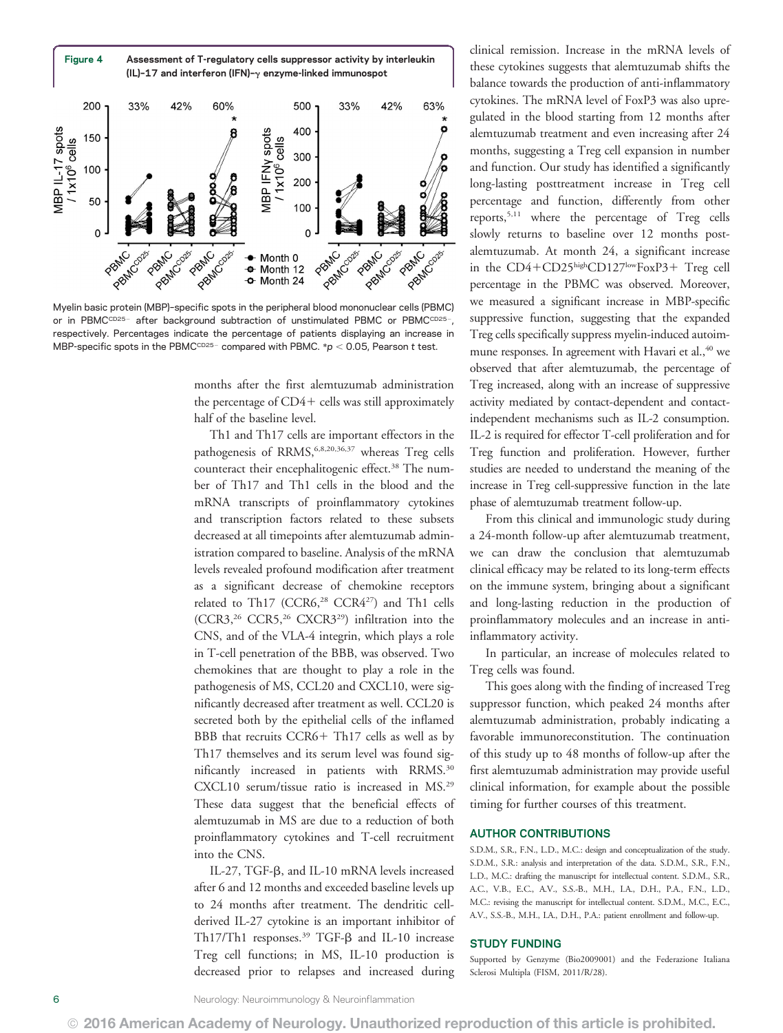

Myelin basic protein (MBP)–specific spots in the peripheral blood mononuclear cells (PBMC) or in PBMCCD25- after background subtraction of unstimulated PBMC or PBMCCD25-, respectively. Percentages indicate the percentage of patients displaying an increase in MBP-specific spots in the PBMCCD25- compared with PBMC. \*p < 0.05, Pearson t test.

months after the first alemtuzumab administration the percentage of  $CD4+$  cells was still approximately half of the baseline level.

Th1 and Th17 cells are important effectors in the pathogenesis of RRMS,<sup>6,8,20,36,37</sup> whereas Treg cells counteract their encephalitogenic effect.<sup>38</sup> The number of Th17 and Th1 cells in the blood and the mRNA transcripts of proinflammatory cytokines and transcription factors related to these subsets decreased at all timepoints after alemtuzumab administration compared to baseline. Analysis of the mRNA levels revealed profound modification after treatment as a significant decrease of chemokine receptors related to Th17 (CCR6,<sup>28</sup> CCR4<sup>27</sup>) and Th1 cells (CCR3,26 CCR5,26 CXCR329) infiltration into the CNS, and of the VLA-4 integrin, which plays a role in T-cell penetration of the BBB, was observed. Two chemokines that are thought to play a role in the pathogenesis of MS, CCL20 and CXCL10, were significantly decreased after treatment as well. CCL20 is secreted both by the epithelial cells of the inflamed BBB that recruits  $CCR6+ Th17$  cells as well as by Th17 themselves and its serum level was found significantly increased in patients with RRMS.<sup>30</sup> CXCL10 serum/tissue ratio is increased in MS.29 These data suggest that the beneficial effects of alemtuzumab in MS are due to a reduction of both proinflammatory cytokines and T-cell recruitment into the CNS.

IL-27, TGF-b, and IL-10 mRNA levels increased after 6 and 12 months and exceeded baseline levels up to 24 months after treatment. The dendritic cellderived IL-27 cytokine is an important inhibitor of Th17/Th1 responses. $39$  TGF- $\beta$  and IL-10 increase Treg cell functions; in MS, IL-10 production is decreased prior to relapses and increased during

clinical remission. Increase in the mRNA levels of these cytokines suggests that alemtuzumab shifts the balance towards the production of anti-inflammatory cytokines. The mRNA level of FoxP3 was also upregulated in the blood starting from 12 months after alemtuzumab treatment and even increasing after 24 months, suggesting a Treg cell expansion in number and function. Our study has identified a significantly long-lasting posttreatment increase in Treg cell percentage and function, differently from other reports,5,11 where the percentage of Treg cells slowly returns to baseline over 12 months postalemtuzumab. At month 24, a significant increase in the CD4+CD25highCD127lowFoxP3+ Treg cell percentage in the PBMC was observed. Moreover, we measured a significant increase in MBP-specific suppressive function, suggesting that the expanded Treg cells specifically suppress myelin-induced autoimmune responses. In agreement with Havari et al.,<sup>40</sup> we observed that after alemtuzumab, the percentage of Treg increased, along with an increase of suppressive activity mediated by contact-dependent and contactindependent mechanisms such as IL-2 consumption. IL-2 is required for effector T-cell proliferation and for Treg function and proliferation. However, further studies are needed to understand the meaning of the increase in Treg cell-suppressive function in the late phase of alemtuzumab treatment follow-up.

From this clinical and immunologic study during a 24-month follow-up after alemtuzumab treatment, we can draw the conclusion that alemtuzumab clinical efficacy may be related to its long-term effects on the immune system, bringing about a significant and long-lasting reduction in the production of proinflammatory molecules and an increase in antiinflammatory activity.

In particular, an increase of molecules related to Treg cells was found.

This goes along with the finding of increased Treg suppressor function, which peaked 24 months after alemtuzumab administration, probably indicating a favorable immunoreconstitution. The continuation of this study up to 48 months of follow-up after the first alemtuzumab administration may provide useful clinical information, for example about the possible timing for further courses of this treatment.

#### AUTHOR CONTRIBUTIONS

S.D.M., S.R., F.N., L.D., M.C.: design and conceptualization of the study. S.D.M., S.R.: analysis and interpretation of the data. S.D.M., S.R., F.N., L.D., M.C.: drafting the manuscript for intellectual content. S.D.M., S.R., A.C., V.B., E.C., A.V., S.S.-B., M.H., I.A., D.H., P.A., F.N., L.D., M.C.: revising the manuscript for intellectual content. S.D.M., M.C., E.C., A.V., S.S.-B., M.H., I.A., D.H., P.A.: patient enrollment and follow-up.

#### STUDY FUNDING

Supported by Genzyme (Bio2009001) and the Federazione Italiana Sclerosi Multipla (FISM, 2011/R/28).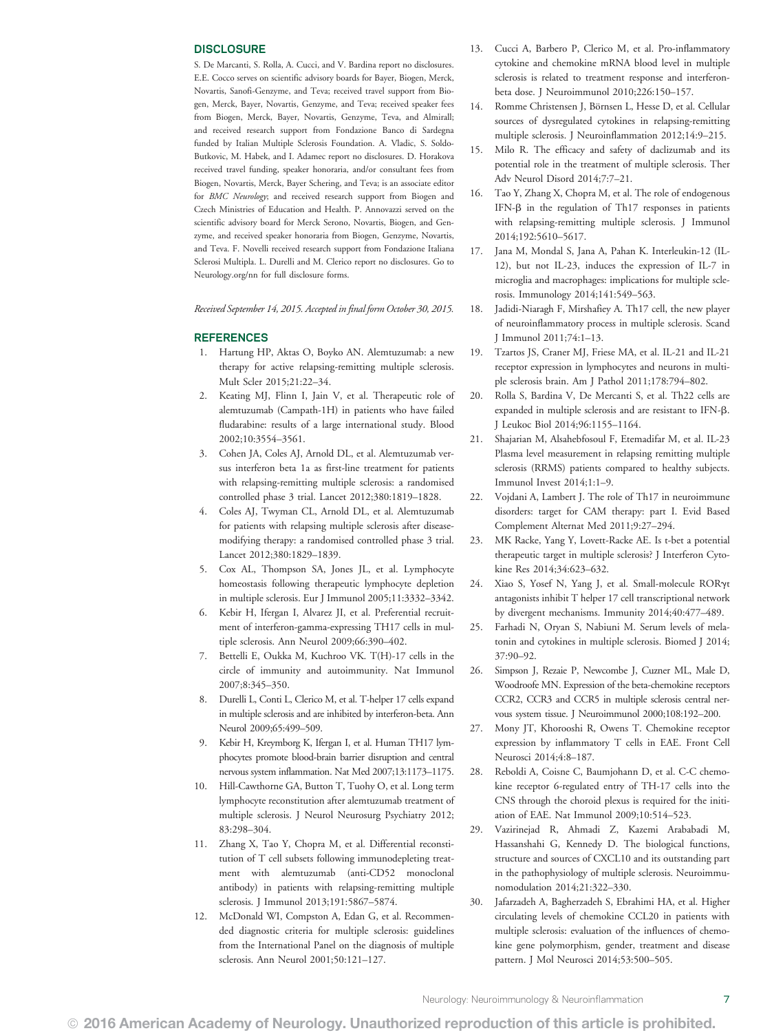#### **DISCLOSURE**

S. De Marcanti, S. Rolla, A. Cucci, and V. Bardina report no disclosures. E.E. Cocco serves on scientific advisory boards for Bayer, Biogen, Merck, Novartis, Sanofi-Genzyme, and Teva; received travel support from Biogen, Merck, Bayer, Novartis, Genzyme, and Teva; received speaker fees from Biogen, Merck, Bayer, Novartis, Genzyme, Teva, and Almirall; and received research support from Fondazione Banco di Sardegna funded by Italian Multiple Sclerosis Foundation. A. Vladic, S. Soldo-Butkovic, M. Habek, and I. Adamec report no disclosures. D. Horakova received travel funding, speaker honoraria, and/or consultant fees from Biogen, Novartis, Merck, Bayer Schering, and Teva; is an associate editor for BMC Neurology; and received research support from Biogen and Czech Ministries of Education and Health. P. Annovazzi served on the scientific advisory board for Merck Serono, Novartis, Biogen, and Genzyme, and received speaker honoraria from Biogen, Genzyme, Novartis, and Teva. F. Novelli received research support from Fondazione Italiana Sclerosi Multipla. L. Durelli and M. Clerico report no disclosures. Go to [Neurology.org/nn](http://nn.neurology.org/lookup/doi/10.1212/NXI.0000000000000194) for full disclosure forms.

Received September 14, 2015. Accepted in final form October 30, 2015.

#### **REFERENCES**

- 1. Hartung HP, Aktas O, Boyko AN. Alemtuzumab: a new therapy for active relapsing-remitting multiple sclerosis. Mult Scler 2015;21:22–34.
- 2. Keating MJ, Flinn I, Jain V, et al. Therapeutic role of alemtuzumab (Campath-1H) in patients who have failed fludarabine: results of a large international study. Blood 2002;10:3554–3561.
- 3. Cohen JA, Coles AJ, Arnold DL, et al. Alemtuzumab versus interferon beta 1a as first-line treatment for patients with relapsing-remitting multiple sclerosis: a randomised controlled phase 3 trial. Lancet 2012;380:1819–1828.
- 4. Coles AJ, Twyman CL, Arnold DL, et al. Alemtuzumab for patients with relapsing multiple sclerosis after diseasemodifying therapy: a randomised controlled phase 3 trial. Lancet 2012;380:1829–1839.
- 5. Cox AL, Thompson SA, Jones JL, et al. Lymphocyte homeostasis following therapeutic lymphocyte depletion in multiple sclerosis. Eur J Immunol 2005;11:3332–3342.
- 6. Kebir H, Ifergan I, Alvarez JI, et al. Preferential recruitment of interferon-gamma-expressing TH17 cells in multiple sclerosis. Ann Neurol 2009;66:390–402.
- 7. Bettelli E, Oukka M, Kuchroo VK. T(H)-17 cells in the circle of immunity and autoimmunity. Nat Immunol 2007;8:345–350.
- 8. Durelli L, Conti L, Clerico M, et al. T-helper 17 cells expand in multiple sclerosis and are inhibited by interferon-beta. Ann Neurol 2009;65:499–509.
- 9. Kebir H, Kreymborg K, Ifergan I, et al. Human TH17 lymphocytes promote blood-brain barrier disruption and central nervous system inflammation. Nat Med 2007;13:1173–1175.
- 10. Hill-Cawthorne GA, Button T, Tuohy O, et al. Long term lymphocyte reconstitution after alemtuzumab treatment of multiple sclerosis. J Neurol Neurosurg Psychiatry 2012; 83:298–304.
- 11. Zhang X, Tao Y, Chopra M, et al. Differential reconstitution of T cell subsets following immunodepleting treatment with alemtuzumab (anti-CD52 monoclonal antibody) in patients with relapsing-remitting multiple sclerosis. J Immunol 2013;191:5867–5874.
- 12. McDonald WI, Compston A, Edan G, et al. Recommended diagnostic criteria for multiple sclerosis: guidelines from the International Panel on the diagnosis of multiple sclerosis. Ann Neurol 2001;50:121–127.
- 13. Cucci A, Barbero P, Clerico M, et al. Pro-inflammatory cytokine and chemokine mRNA blood level in multiple sclerosis is related to treatment response and interferonbeta dose. J Neuroimmunol 2010;226:150–157.
- 14. Romme Christensen J, Börnsen L, Hesse D, et al. Cellular sources of dysregulated cytokines in relapsing-remitting multiple sclerosis. J Neuroinflammation 2012;14:9–215.
- 15. Milo R. The efficacy and safety of daclizumab and its potential role in the treatment of multiple sclerosis. Ther Adv Neurol Disord 2014;7:7–21.
- 16. Tao Y, Zhang X, Chopra M, et al. The role of endogenous IFN- $\beta$  in the regulation of Th17 responses in patients with relapsing-remitting multiple sclerosis. J Immunol 2014;192:5610–5617.
- 17. Jana M, Mondal S, Jana A, Pahan K. Interleukin-12 (IL-12), but not IL-23, induces the expression of IL-7 in microglia and macrophages: implications for multiple sclerosis. Immunology 2014;141:549–563.
- 18. Jadidi-Niaragh F, Mirshafiey A. Th17 cell, the new player of neuroinflammatory process in multiple sclerosis. Scand J Immunol 2011;74:1–13.
- 19. Tzartos JS, Craner MJ, Friese MA, et al. IL-21 and IL-21 receptor expression in lymphocytes and neurons in multiple sclerosis brain. Am J Pathol 2011;178:794–802.
- 20. Rolla S, Bardina V, De Mercanti S, et al. Th22 cells are expanded in multiple sclerosis and are resistant to IFN-b. J Leukoc Biol 2014;96:1155–1164.
- 21. Shajarian M, Alsahebfosoul F, Etemadifar M, et al. IL-23 Plasma level measurement in relapsing remitting multiple sclerosis (RRMS) patients compared to healthy subjects. Immunol Invest 2014;1:1–9.
- 22. Vojdani A, Lambert J. The role of Th17 in neuroimmune disorders: target for CAM therapy: part I. Evid Based Complement Alternat Med 2011;9:27–294.
- 23. MK Racke, Yang Y, Lovett-Racke AE. Is t-bet a potential therapeutic target in multiple sclerosis? J Interferon Cytokine Res 2014;34:623–632.
- 24. Xiao S, Yosef N, Yang J, et al. Small-molecule ROR $\gamma$ t antagonists inhibit T helper 17 cell transcriptional network by divergent mechanisms. Immunity 2014;40:477–489.
- 25. Farhadi N, Oryan S, Nabiuni M. Serum levels of melatonin and cytokines in multiple sclerosis. Biomed J 2014; 37:90–92.
- 26. Simpson J, Rezaie P, Newcombe J, Cuzner ML, Male D, Woodroofe MN. Expression of the beta-chemokine receptors CCR2, CCR3 and CCR5 in multiple sclerosis central nervous system tissue. J Neuroimmunol 2000;108:192–200.
- 27. Mony JT, Khorooshi R, Owens T. Chemokine receptor expression by inflammatory T cells in EAE. Front Cell Neurosci 2014;4:8–187.
- 28. Reboldi A, Coisne C, Baumjohann D, et al. C-C chemokine receptor 6-regulated entry of TH-17 cells into the CNS through the choroid plexus is required for the initiation of EAE. Nat Immunol 2009;10:514–523.
- 29. Vazirinejad R, Ahmadi Z, Kazemi Arababadi M, Hassanshahi G, Kennedy D. The biological functions, structure and sources of CXCL10 and its outstanding part in the pathophysiology of multiple sclerosis. Neuroimmunomodulation 2014;21:322–330.
- 30. Jafarzadeh A, Bagherzadeh S, Ebrahimi HA, et al. Higher circulating levels of chemokine CCL20 in patients with multiple sclerosis: evaluation of the influences of chemokine gene polymorphism, gender, treatment and disease pattern. J Mol Neurosci 2014;53:500–505.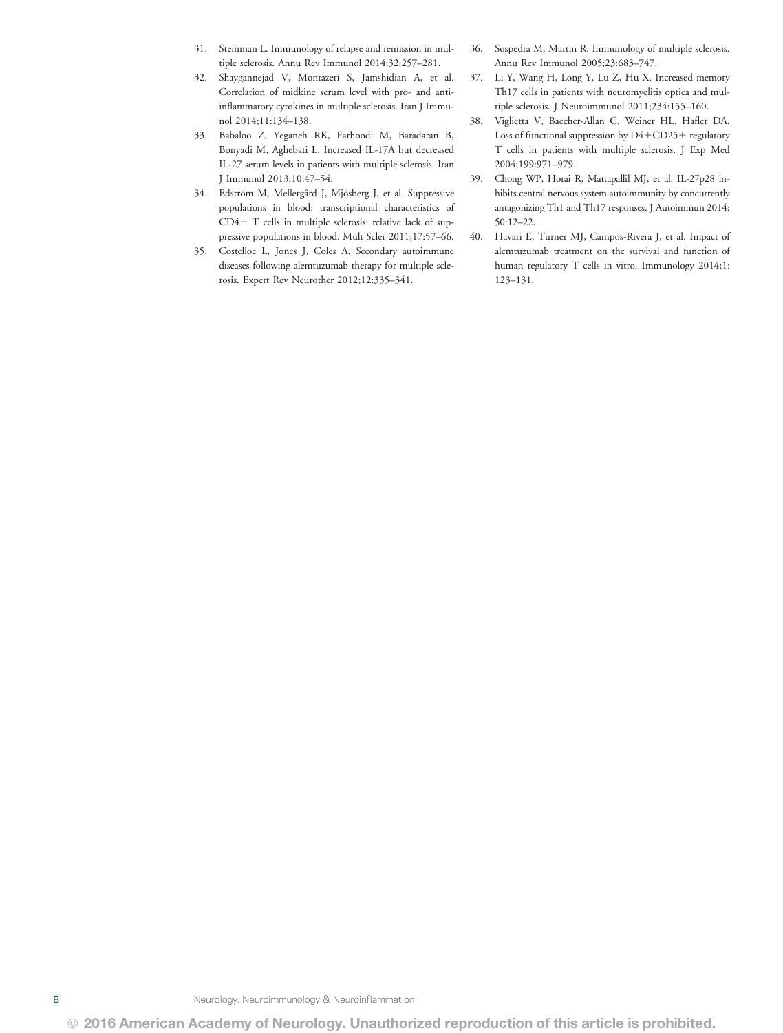- 31. Steinman L. Immunology of relapse and remission in multiple sclerosis. Annu Rev Immunol 2014;32:257–281.
- 32. Shaygannejad V, Montazeri S, Jamshidian A, et al. Correlation of midkine serum level with pro- and antiinflammatory cytokines in multiple sclerosis. Iran J Immunol 2014;11:134–138.
- 33. Babaloo Z, Yeganeh RK, Farhoodi M, Baradaran B, Bonyadi M, Aghebati L. Increased IL-17A but decreased IL-27 serum levels in patients with multiple sclerosis. Iran J Immunol 2013;10:47–54.
- 34. Edström M, Mellergård J, Mjösberg J, et al. Suppressive populations in blood: transcriptional characteristics of  $CD4+T$  cells in multiple sclerosis: relative lack of suppressive populations in blood. Mult Scler 2011;17:57–66.
- 35. Costelloe L, Jones J, Coles A. Secondary autoimmune diseases following alemtuzumab therapy for multiple sclerosis. Expert Rev Neurother 2012;12:335–341.
- 36. Sospedra M, Martin R. Immunology of multiple sclerosis. Annu Rev Immunol 2005;23:683–747.
- 37. Li Y, Wang H, Long Y, Lu Z, Hu X. Increased memory Th17 cells in patients with neuromyelitis optica and multiple sclerosis. J Neuroimmunol 2011;234:155–160.
- 38. Viglietta V, Baecher-Allan C, Weiner HL, Hafler DA. Loss of functional suppression by  $D4+CD25+$  regulatory T cells in patients with multiple sclerosis. J Exp Med 2004;199:971–979.
- 39. Chong WP, Horai R, Mattapallil MJ, et al. IL-27p28 inhibits central nervous system autoimmunity by concurrently antagonizing Th1 and Th17 responses. J Autoimmun 2014; 50:12–22.
- 40. Havari E, Turner MJ, Campos-Rivera J, et al. Impact of alemtuzumab treatment on the survival and function of human regulatory T cells in vitro. Immunology 2014;1: 123–131.

8 Neurology: Neuroimmunology & Neuroinflammation